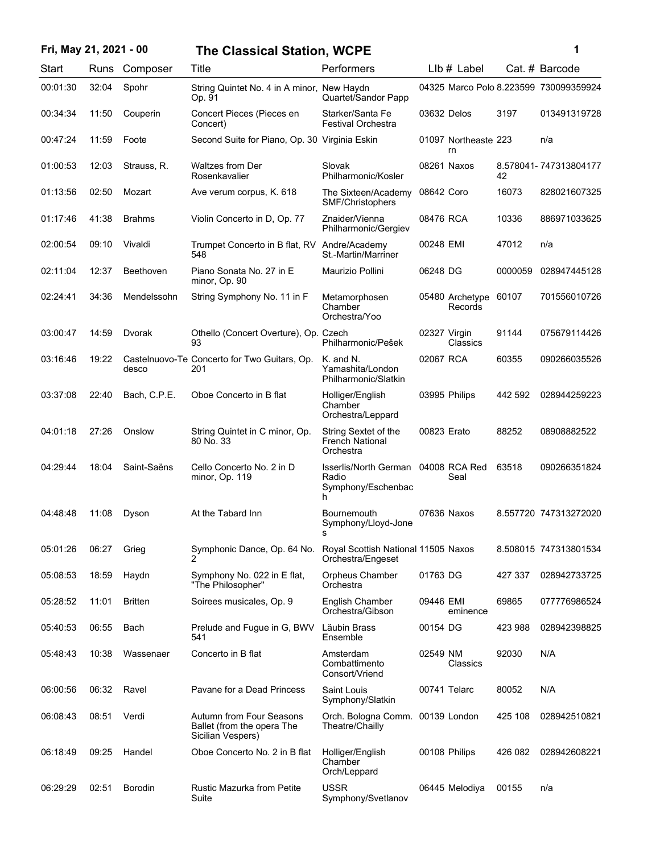| Fri, May 21, 2021 - 00 |       |                | <b>The Classical Station, WCPE</b>                                          |                                                                          |              |                            |         | 1                                      |
|------------------------|-------|----------------|-----------------------------------------------------------------------------|--------------------------------------------------------------------------|--------------|----------------------------|---------|----------------------------------------|
| Start                  |       | Runs Composer  | Title                                                                       | Performers                                                               |              | $Llb#$ Label               |         | Cat. # Barcode                         |
| 00:01:30               | 32:04 | Spohr          | String Quintet No. 4 in A minor, New Haydn<br>Op. 91                        | Quartet/Sandor Papp                                                      |              |                            |         | 04325 Marco Polo 8.223599 730099359924 |
| 00:34:34               | 11:50 | Couperin       | Concert Pieces (Pieces en<br>Concert)                                       | Starker/Santa Fe<br><b>Festival Orchestra</b>                            | 03632 Delos  |                            | 3197    | 013491319728                           |
| 00:47:24               | 11:59 | Foote          | Second Suite for Piano, Op. 30 Virginia Eskin                               |                                                                          |              | 01097 Northeaste 223<br>rn |         | n/a                                    |
| 01:00:53               | 12:03 | Strauss, R.    | <b>Waltzes from Der</b><br>Rosenkavalier                                    | Slovak<br>Philharmonic/Kosler                                            |              | 08261 Naxos                | 42      | 8.578041-747313804177                  |
| 01:13:56               | 02:50 | Mozart         | Ave verum corpus, K. 618                                                    | The Sixteen/Academy<br>SMF/Christophers                                  | 08642 Coro   |                            | 16073   | 828021607325                           |
| 01:17:46               | 41:38 | <b>Brahms</b>  | Violin Concerto in D, Op. 77                                                | Znaider/Vienna<br>Philharmonic/Gergiev                                   | 08476 RCA    |                            | 10336   | 886971033625                           |
| 02:00:54               | 09:10 | Vivaldi        | Trumpet Concerto in B flat, RV Andre/Academy<br>548                         | St.-Martin/Marriner                                                      | 00248 EMI    |                            | 47012   | n/a                                    |
| 02:11:04               | 12:37 | Beethoven      | Piano Sonata No. 27 in E<br>minor, Op. 90                                   | Maurizio Pollini                                                         | 06248 DG     |                            | 0000059 | 028947445128                           |
| 02:24:41               | 34:36 | Mendelssohn    | String Symphony No. 11 in F                                                 | Metamorphosen<br>Chamber<br>Orchestra/Yoo                                |              | 05480 Archetype<br>Records | 60107   | 701556010726                           |
| 03:00:47               | 14:59 | Dvorak         | Othello (Concert Overture), Op. Czech<br>93                                 | Philharmonic/Pešek                                                       | 02327 Virgin | Classics                   | 91144   | 075679114426                           |
| 03:16:46               | 19:22 | desco          | Castelnuovo-Te Concerto for Two Guitars, Op.<br>201                         | K. and N.<br>Yamashita/London<br>Philharmonic/Slatkin                    | 02067 RCA    |                            | 60355   | 090266035526                           |
| 03:37:08               | 22:40 | Bach, C.P.E.   | Oboe Concerto in B flat                                                     | Holliger/English<br>Chamber<br>Orchestra/Leppard                         |              | 03995 Philips              | 442 592 | 028944259223                           |
| 04:01:18               | 27:26 | Onslow         | String Quintet in C minor, Op.<br>80 No. 33                                 | String Sextet of the<br><b>French National</b><br>Orchestra              | 00823 Erato  |                            | 88252   | 08908882522                            |
| 04:29:44               | 18:04 | Saint-Saëns    | Cello Concerto No. 2 in D<br>minor, Op. 119                                 | Isserlis/North German 04008 RCA Red<br>Radio<br>Symphony/Eschenbac<br>h. |              | Seal                       | 63518   | 090266351824                           |
| 04:48:48               | 11:08 | Dyson          | At the Tabard Inn                                                           | Bournemouth<br>Symphony/Lloyd-Jone<br>s                                  |              | 07636 Naxos                |         | 8.557720 747313272020                  |
| 05:01:26               | 06:27 | Grieg          | Symphonic Dance, Op. 64 No.                                                 | Royal Scottish National 11505 Naxos<br>Orchestra/Engeset                 |              |                            |         | 8.508015 747313801534                  |
| 05:08:53               | 18:59 | Haydn          | Symphony No. 022 in E flat,<br>"The Philosopher"                            | Orpheus Chamber<br>Orchestra                                             | 01763 DG     |                            | 427 337 | 028942733725                           |
| 05:28:52               | 11:01 | <b>Britten</b> | Soirees musicales, Op. 9                                                    | English Chamber<br>Orchestra/Gibson                                      | 09446 EMI    | eminence                   | 69865   | 077776986524                           |
| 05:40:53               | 06:55 | Bach           | Prelude and Fugue in G, BWV<br>541                                          | Läubin Brass<br>Ensemble                                                 | 00154 DG     |                            | 423 988 | 028942398825                           |
| 05:48:43               | 10:38 | Wassenaer      | Concerto in B flat                                                          | Amsterdam<br>Combattimento<br>Consort/Vriend                             | 02549 NM     | Classics                   | 92030   | N/A                                    |
| 06:00:56               | 06:32 | Ravel          | Pavane for a Dead Princess                                                  | Saint Louis<br>Symphony/Slatkin                                          | 00741 Telarc |                            | 80052   | N/A                                    |
| 06:08:43               | 08:51 | Verdi          | Autumn from Four Seasons<br>Ballet (from the opera The<br>Sicilian Vespers) | Orch. Bologna Comm. 00139 London<br>Theatre/Chailly                      |              |                            | 425 108 | 028942510821                           |
| 06:18:49               | 09:25 | Handel         | Oboe Concerto No. 2 in B flat                                               | Holliger/English<br>Chamber<br>Orch/Leppard                              |              | 00108 Philips              | 426 082 | 028942608221                           |
| 06:29:29               | 02:51 | <b>Borodin</b> | Rustic Mazurka from Petite<br>Suite                                         | <b>USSR</b><br>Symphony/Svetlanov                                        |              | 06445 Melodiya             | 00155   | n/a                                    |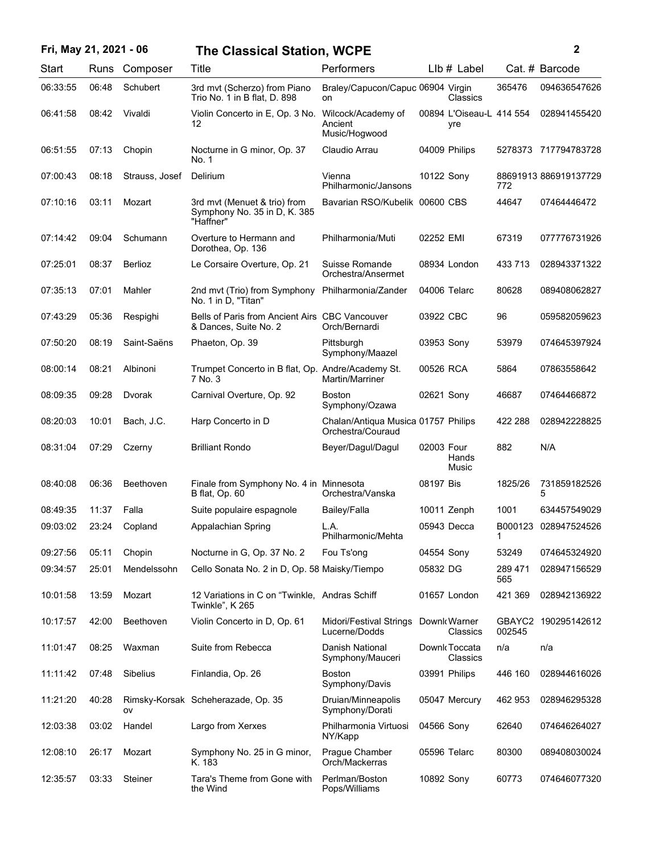| Fri, May 21, 2021 - 06 |       |                  | <b>The Classical Station, WCPE</b>                                        |                                                          |            |                                 |                | 2                     |
|------------------------|-------|------------------|---------------------------------------------------------------------------|----------------------------------------------------------|------------|---------------------------------|----------------|-----------------------|
| Start                  | Runs  | Composer         | Title                                                                     | Performers                                               |            | $Llb#$ Label                    |                | Cat. # Barcode        |
| 06:33:55               | 06:48 | Schubert         | 3rd mvt (Scherzo) from Piano<br>Trio No. 1 in B flat, D. 898              | Braley/Capucon/Capuc 06904 Virgin<br>on                  |            | Classics                        | 365476         | 094636547626          |
| 06:41:58               | 08:42 | Vivaldi          | Violin Concerto in E, Op. 3 No.<br>12                                     | Wilcock/Academy of<br>Ancient<br>Music/Hogwood           |            | 00894 L'Oiseau-L 414 554<br>yre |                | 028941455420          |
| 06:51:55               | 07:13 | Chopin           | Nocturne in G minor, Op. 37<br>No. 1                                      | Claudio Arrau                                            |            | 04009 Philips                   |                | 5278373 717794783728  |
| 07:00:43               | 08:18 | Strauss, Josef   | Delirium                                                                  | Vienna<br>Philharmonic/Jansons                           | 10122 Sony |                                 | 772            | 88691913 886919137729 |
| 07:10:16               | 03:11 | Mozart           | 3rd mvt (Menuet & trio) from<br>Symphony No. 35 in D, K. 385<br>"Haffner" | Bavarian RSO/Kubelik 00600 CBS                           |            |                                 | 44647          | 07464446472           |
| 07:14:42               | 09:04 | Schumann         | Overture to Hermann and<br>Dorothea, Op. 136                              | Philharmonia/Muti                                        | 02252 EMI  |                                 | 67319          | 077776731926          |
| 07:25:01               | 08:37 | <b>Berlioz</b>   | Le Corsaire Overture, Op. 21                                              | Suisse Romande<br>Orchestra/Ansermet                     |            | 08934 London                    | 433 713        | 028943371322          |
| 07:35:13               | 07:01 | Mahler           | 2nd mvt (Trio) from Symphony Philharmonia/Zander<br>No. 1 in D, "Titan"   |                                                          |            | 04006 Telarc                    | 80628          | 089408062827          |
| 07:43:29               | 05:36 | Respighi         | Bells of Paris from Ancient Airs CBC Vancouver<br>& Dances, Suite No. 2   | Orch/Bernardi                                            | 03922 CBC  |                                 | 96             | 059582059623          |
| 07:50:20               | 08:19 | Saint-Saëns      | Phaeton, Op. 39                                                           | Pittsburgh<br>Symphony/Maazel                            | 03953 Sony |                                 | 53979          | 074645397924          |
| 08:00:14               | 08:21 | Albinoni         | Trumpet Concerto in B flat, Op. Andre/Academy St.<br>7 No. 3              | Martin/Marriner                                          | 00526 RCA  |                                 | 5864           | 07863558642           |
| 08:09:35               | 09:28 | Dvorak           | Carnival Overture, Op. 92                                                 | <b>Boston</b><br>Symphony/Ozawa                          | 02621 Sony |                                 | 46687          | 07464466872           |
| 08:20:03               | 10:01 | Bach, J.C.       | Harp Concerto in D                                                        | Chalan/Antiqua Musica 01757 Philips<br>Orchestra/Couraud |            |                                 | 422 288        | 028942228825          |
| 08:31:04               | 07:29 | Czerny           | <b>Brilliant Rondo</b>                                                    | Beyer/Dagul/Dagul                                        | 02003 Four | Hands<br>Music                  | 882            | N/A                   |
| 08:40:08               | 06:36 | <b>Beethoven</b> | Finale from Symphony No. 4 in Minnesota<br><b>B</b> flat, Op. 60          | Orchestra/Vanska                                         | 08197 Bis  |                                 | 1825/26        | 731859182526<br>5     |
| 08:49:35               | 11:37 | Falla            | Suite populaire espagnole                                                 | Bailey/Falla                                             |            | 10011 Zenph                     | 1001           | 634457549029          |
| 09:03:02               | 23:24 | Copland          | Appalachian Spring                                                        | L.A.<br>Philharmonic/Mehta                               |            | 05943 Decca                     | B000123<br>1   | 028947524526          |
| 09:27:56               | 05:11 | Chopin           | Nocturne in G, Op. 37 No. 2                                               | Fou Ts'ong                                               | 04554 Sony |                                 | 53249          | 074645324920          |
| 09:34:57               | 25:01 | Mendelssohn      | Cello Sonata No. 2 in D, Op. 58 Maisky/Tiempo                             |                                                          | 05832 DG   |                                 | 289 471<br>565 | 028947156529          |
| 10:01:58               | 13:59 | Mozart           | 12 Variations in C on "Twinkle, Andras Schiff<br>Twinkle", K 265          |                                                          |            | 01657 London                    | 421 369        | 028942136922          |
| 10:17:57               | 42:00 | Beethoven        | Violin Concerto in D, Op. 61                                              | Midori/Festival Strings<br>Lucerne/Dodds                 |            | Downk Warner<br>Classics        | 002545         | GBAYC2 190295142612   |
| 11:01:47               | 08:25 | Waxman           | Suite from Rebecca                                                        | Danish National<br>Symphony/Mauceri                      |            | Downk Toccata<br>Classics       | n/a            | n/a                   |
| 11:11:42               | 07:48 | Sibelius         | Finlandia, Op. 26                                                         | Boston<br>Symphony/Davis                                 |            | 03991 Philips                   | 446 160        | 028944616026          |
| 11:21:20               | 40:28 | ov               | Rimsky-Korsak Scheherazade, Op. 35                                        | Druian/Minneapolis<br>Symphony/Dorati                    |            | 05047 Mercury                   | 462 953        | 028946295328          |
| 12:03:38               | 03:02 | Handel           | Largo from Xerxes                                                         | Philharmonia Virtuosi<br>NY/Kapp                         | 04566 Sony |                                 | 62640          | 074646264027          |
| 12:08:10               | 26:17 | Mozart           | Symphony No. 25 in G minor,<br>K. 183                                     | Prague Chamber<br>Orch/Mackerras                         |            | 05596 Telarc                    | 80300          | 089408030024          |
| 12:35:57               | 03:33 | Steiner          | Tara's Theme from Gone with<br>the Wind                                   | Perlman/Boston<br>Pops/Williams                          | 10892 Sony |                                 | 60773          | 074646077320          |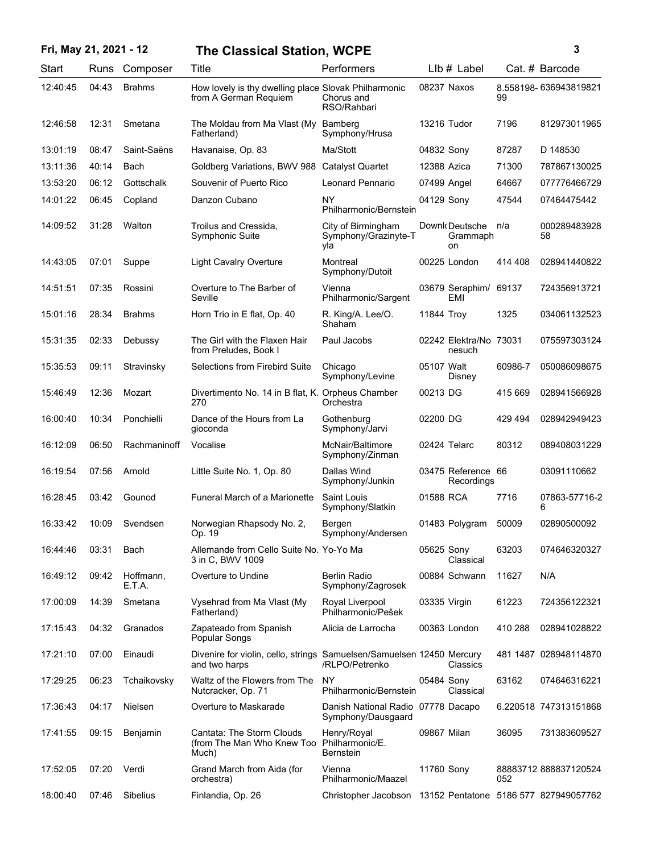| Fri, May 21, 2021 - 12 |       |                     | <b>The Classical Station, WCPE</b>                                                     |                                                            |              |                                  |         | $\mathbf{3}$          |
|------------------------|-------|---------------------|----------------------------------------------------------------------------------------|------------------------------------------------------------|--------------|----------------------------------|---------|-----------------------|
| Start                  | Runs  | Composer            | Title                                                                                  | Performers                                                 |              | $Llb#$ Label                     |         | Cat. # Barcode        |
| 12:40:45               | 04:43 | <b>Brahms</b>       | How lovely is thy dwelling place Slovak Philharmonic<br>from A German Requiem          | Chorus and<br>RSO/Rahbari                                  |              | 08237 Naxos                      | 99      | 8.558198-636943819821 |
| 12:46:58               | 12:31 | Smetana             | The Moldau from Ma Vlast (My<br>Fatherland)                                            | Bamberg<br>Symphony/Hrusa                                  |              | 13216 Tudor                      | 7196    | 812973011965          |
| 13:01:19               | 08:47 | Saint-Saëns         | Havanaise, Op. 83                                                                      | Ma/Stott                                                   | 04832 Sony   |                                  | 87287   | D 148530              |
| 13:11:36               | 40:14 | Bach                | Goldberg Variations, BWV 988 Catalyst Quartet                                          |                                                            | 12388 Azica  |                                  | 71300   | 787867130025          |
| 13:53:20               | 06:12 | Gottschalk          | Souvenir of Puerto Rico                                                                | Leonard Pennario                                           | 07499 Angel  |                                  | 64667   | 077776466729          |
| 14:01:22               | 06:45 | Copland             | Danzon Cubano                                                                          | <b>NY</b><br>Philharmonic/Bernstein                        | 04129 Sony   |                                  | 47544   | 07464475442           |
| 14:09:52               | 31:28 | Walton              | Troilus and Cressida,<br><b>Symphonic Suite</b>                                        | City of Birmingham<br>Symphony/Grazinyte-T<br>yla          |              | Downk Deutsche<br>Grammaph<br>on | n/a     | 000289483928<br>58    |
| 14:43:05               | 07:01 | Suppe               | <b>Light Cavalry Overture</b>                                                          | Montreal<br>Symphony/Dutoit                                |              | 00225 London                     | 414 408 | 028941440822          |
| 14:51:51               | 07:35 | Rossini             | Overture to The Barber of<br>Seville                                                   | Vienna<br>Philharmonic/Sargent                             |              | 03679 Seraphim/ 69137<br>EMI     |         | 724356913721          |
| 15:01:16               | 28:34 | <b>Brahms</b>       | Horn Trio in E flat, Op. 40                                                            | R. King/A. Lee/O.<br>Shaham                                | 11844 Troy   |                                  | 1325    | 034061132523          |
| 15:31:35               | 02:33 | Debussy             | The Girl with the Flaxen Hair<br>from Preludes, Book I                                 | Paul Jacobs                                                |              | 02242 Elektra/No 73031<br>nesuch |         | 075597303124          |
| 15:35:53               | 09:11 | Stravinsky          | Selections from Firebird Suite                                                         | Chicago<br>Symphony/Levine                                 | 05107 Walt   | Disney                           | 60986-7 | 050086098675          |
| 15:46:49               | 12:36 | Mozart              | Divertimento No. 14 in B flat, K. Orpheus Chamber<br>270                               | Orchestra                                                  | 00213 DG     |                                  | 415 669 | 028941566928          |
| 16:00:40               | 10:34 | Ponchielli          | Dance of the Hours from La<br>gioconda                                                 | Gothenburg<br>Symphony/Jarvi                               | 02200 DG     |                                  | 429 494 | 028942949423          |
| 16:12:09               | 06:50 | Rachmaninoff        | Vocalise                                                                               | McNair/Baltimore<br>Symphony/Zinman                        |              | 02424 Telarc                     | 80312   | 089408031229          |
| 16:19:54               | 07:56 | Arnold              | Little Suite No. 1, Op. 80                                                             | Dallas Wind<br>Symphony/Junkin                             |              | 03475 Reference 66<br>Recordings |         | 03091110662           |
| 16:28:45               | 03:42 | Gounod              | Funeral March of a Marionette                                                          | Saint Louis<br>Symphony/Slatkin                            | 01588 RCA    |                                  | 7716    | 07863-57716-2<br>6    |
| 16:33:42               | 10:09 | Svendsen            | Norwegian Rhapsody No. 2,<br>Op. 19                                                    | Bergen<br>Symphony/Andersen                                |              | 01483 Polygram                   | 50009   | 02890500092           |
| 16:44:46               | 03:31 | Bach                | Allemande from Cello Suite No. Yo-Yo Ma<br>3 in C, BWV 1009                            |                                                            | 05625 Sony   | Classical                        | 63203   | 074646320327          |
| 16:49:12               | 09:42 | Hoffmann,<br>E.T.A. | Overture to Undine                                                                     | Berlin Radio<br>Symphony/Zagrosek                          |              | 00884 Schwann                    | 11627   | N/A                   |
| 17:00:09               | 14:39 | Smetana             | Vysehrad from Ma Vlast (My<br>Fatherland)                                              | Royal Liverpool<br>Philharmonic/Pešek                      | 03335 Virgin |                                  | 61223   | 724356122321          |
| 17:15:43               | 04:32 | Granados            | Zapateado from Spanish<br>Popular Songs                                                | Alicia de Larrocha                                         |              | 00363 London                     | 410 288 | 028941028822          |
| 17:21:10               | 07:00 | Einaudi             | Divenire for violin, cello, strings Samuelsen/Samuelsen 12450 Mercury<br>and two harps | /RLPO/Petrenko                                             |              | Classics                         |         | 481 1487 028948114870 |
| 17:29:25               | 06:23 | Tchaikovsky         | Waltz of the Flowers from The<br>Nutcracker, Op. 71                                    | <b>NY</b><br>Philharmonic/Bernstein                        | 05484 Sony   | Classical                        | 63162   | 074646316221          |
| 17:36:43               | 04:17 | <b>Nielsen</b>      | Overture to Maskarade                                                                  | Danish National Radio 07778 Dacapo<br>Symphony/Dausgaard   |              |                                  |         | 6.220518 747313151868 |
| 17:41:55               | 09:15 | Benjamin            | Cantata: The Storm Clouds<br>(from The Man Who Knew Too Philharmonic/E.<br>Much)       | Henry/Royal<br>Bernstein                                   | 09867 Milan  |                                  | 36095   | 731383609527          |
| 17:52:05               | 07:20 | Verdi               | Grand March from Aida (for<br>orchestra)                                               | Vienna<br>Philharmonic/Maazel                              | 11760 Sony   |                                  | 052     | 88883712888837120524  |
| 18:00:40               | 07:46 | Sibelius            | Finlandia, Op. 26                                                                      | Christopher Jacobson 13152 Pentatone 5186 577 827949057762 |              |                                  |         |                       |